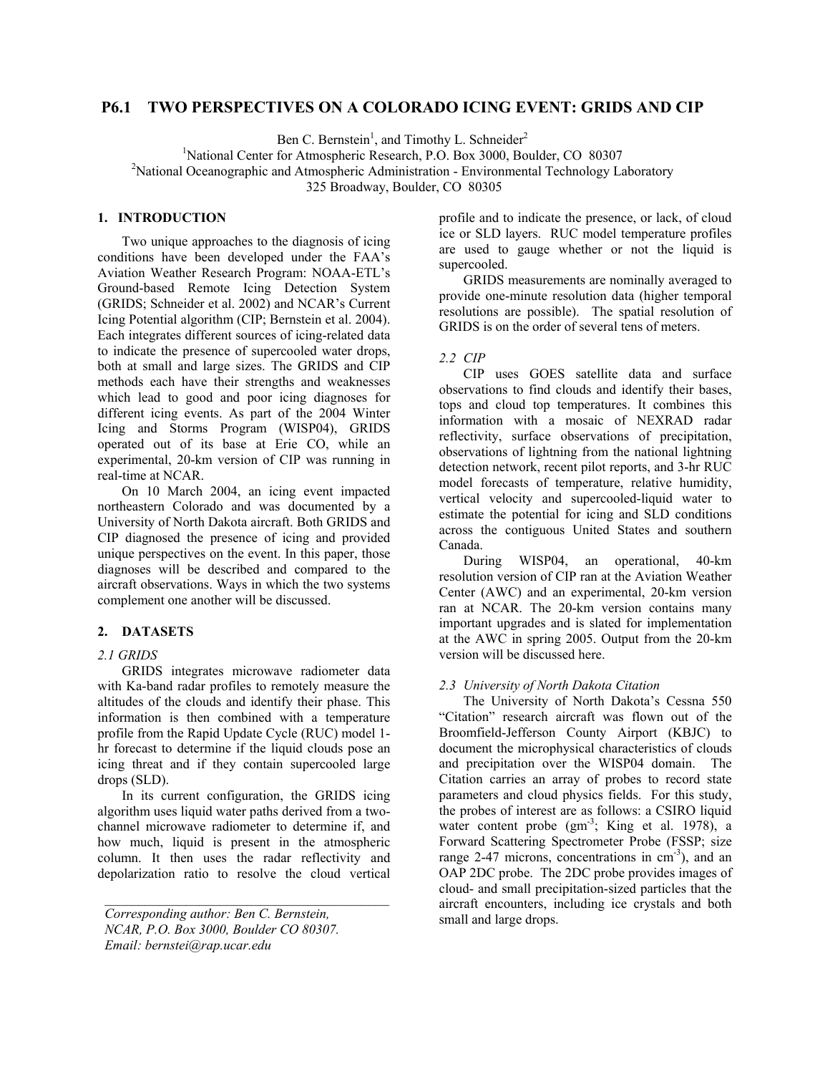# **P6.1 TWO PERSPECTIVES ON A COLORADO ICING EVENT: GRIDS AND CIP**

Ben C. Bernstein<sup>1</sup>, and Timothy L. Schneider<sup>2</sup>

<sup>1</sup>National Center for Atmospheric Research, P.O. Box 3000, Boulder, CO 80307<sup>2</sup><br><sup>2</sup>National Occanographic and Atmospheric Administration. Environmental Technology Le

<sup>2</sup>National Oceanographic and Atmospheric Administration - Environmental Technology Laboratory

325 Broadway, Boulder, CO 80305

## **1. INTRODUCTION**

Two unique approaches to the diagnosis of icing conditions have been developed under the FAA's Aviation Weather Research Program: NOAA-ETL's Ground-based Remote Icing Detection System (GRIDS; Schneider et al. 2002) and NCAR's Current Icing Potential algorithm (CIP; Bernstein et al. 2004). Each integrates different sources of icing-related data to indicate the presence of supercooled water drops, both at small and large sizes. The GRIDS and CIP methods each have their strengths and weaknesses which lead to good and poor icing diagnoses for different icing events. As part of the 2004 Winter Icing and Storms Program (WISP04), GRIDS operated out of its base at Erie CO, while an experimental, 20-km version of CIP was running in real-time at NCAR.

On 10 March 2004, an icing event impacted northeastern Colorado and was documented by a University of North Dakota aircraft. Both GRIDS and CIP diagnosed the presence of icing and provided unique perspectives on the event. In this paper, those diagnoses will be described and compared to the aircraft observations. Ways in which the two systems complement one another will be discussed.

### **2. DATASETS**

### *2.1 GRIDS*

GRIDS integrates microwave radiometer data with Ka-band radar profiles to remotely measure the altitudes of the clouds and identify their phase. This information is then combined with a temperature profile from the Rapid Update Cycle (RUC) model 1 hr forecast to determine if the liquid clouds pose an icing threat and if they contain supercooled large drops (SLD).

In its current configuration, the GRIDS icing algorithm uses liquid water paths derived from a twochannel microwave radiometer to determine if, and how much, liquid is present in the atmospheric column. It then uses the radar reflectivity and depolarization ratio to resolve the cloud vertical

profile and to indicate the presence, or lack, of cloud ice or SLD layers. RUC model temperature profiles are used to gauge whether or not the liquid is supercooled.

GRIDS measurements are nominally averaged to provide one-minute resolution data (higher temporal resolutions are possible). The spatial resolution of GRIDS is on the order of several tens of meters.

# *2.2 CIP*

CIP uses GOES satellite data and surface observations to find clouds and identify their bases, tops and cloud top temperatures. It combines this information with a mosaic of NEXRAD radar reflectivity, surface observations of precipitation, observations of lightning from the national lightning detection network, recent pilot reports, and 3-hr RUC model forecasts of temperature, relative humidity, vertical velocity and supercooled-liquid water to estimate the potential for icing and SLD conditions across the contiguous United States and southern Canada.

During WISP04, an operational, 40-km resolution version of CIP ran at the Aviation Weather Center (AWC) and an experimental, 20-km version ran at NCAR. The 20-km version contains many important upgrades and is slated for implementation at the AWC in spring 2005. Output from the 20-km version will be discussed here.

### *2.3 University of North Dakota Citation*

The University of North Dakota's Cessna 550 "Citation" research aircraft was flown out of the Broomfield-Jefferson County Airport (KBJC) to document the microphysical characteristics of clouds and precipitation over the WISP04 domain. The Citation carries an array of probes to record state parameters and cloud physics fields. For this study, the probes of interest are as follows: a CSIRO liquid water content probe  $(gm^{-3})$ ; King et al. 1978), a Forward Scattering Spectrometer Probe (FSSP; size range 2-47 microns, concentrations in  $cm^{-3}$ ), and an OAP 2DC probe. The 2DC probe provides images of cloud- and small precipitation-sized particles that the aircraft encounters, including ice crystals and both small and large drops.

*Corresponding author: Ben C. Bernstein, NCAR, P.O. Box 3000, Boulder CO 80307. Email: bernstei@rap.ucar.edu*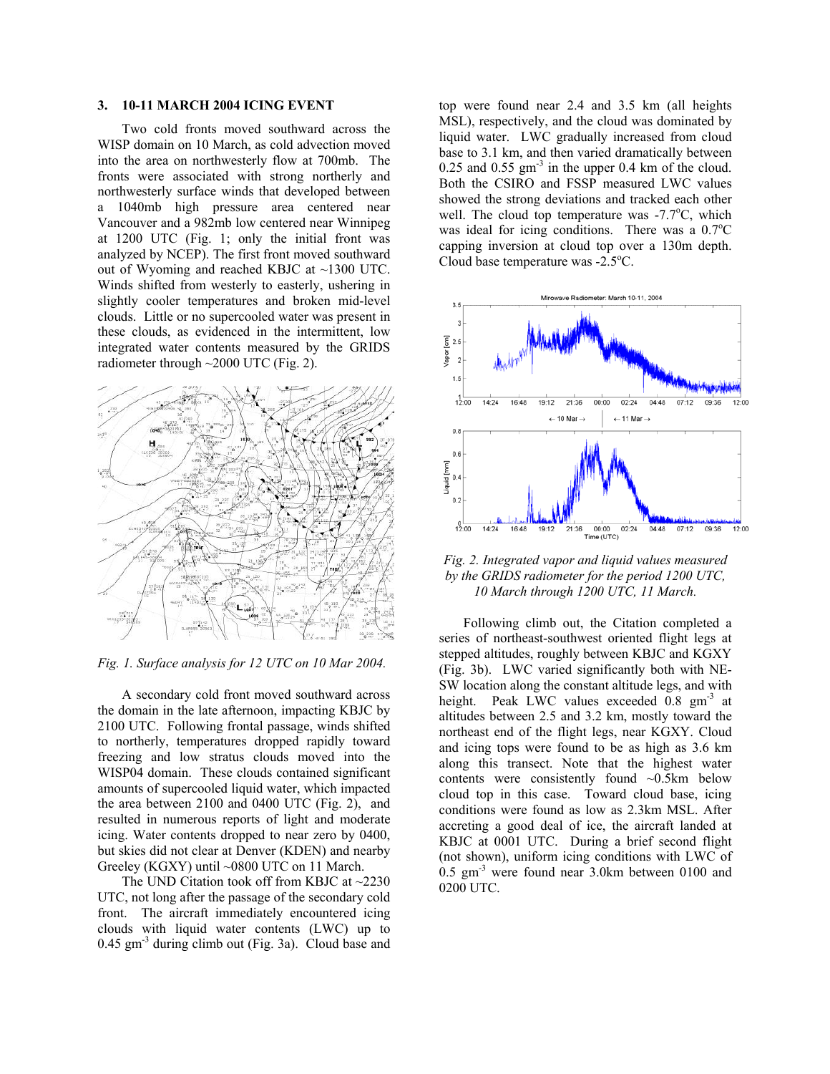### **3. 10-11 MARCH 2004 ICING EVENT**

Two cold fronts moved southward across the WISP domain on 10 March, as cold advection moved into the area on northwesterly flow at 700mb. The fronts were associated with strong northerly and northwesterly surface winds that developed between a 1040mb high pressure area centered near Vancouver and a 982mb low centered near Winnipeg at 1200 UTC (Fig. 1; only the initial front was analyzed by NCEP). The first front moved southward out of Wyoming and reached KBJC at ~1300 UTC. Winds shifted from westerly to easterly, ushering in slightly cooler temperatures and broken mid-level clouds. Little or no supercooled water was present in these clouds, as evidenced in the intermittent, low integrated water contents measured by the GRIDS radiometer through ~2000 UTC (Fig. 2).



#### *Fig. 1. Surface analysis for 12 UTC on 10 Mar 2004.*

A secondary cold front moved southward across the domain in the late afternoon, impacting KBJC by 2100 UTC. Following frontal passage, winds shifted to northerly, temperatures dropped rapidly toward freezing and low stratus clouds moved into the WISP04 domain. These clouds contained significant amounts of supercooled liquid water, which impacted the area between 2100 and 0400 UTC (Fig. 2), and resulted in numerous reports of light and moderate icing. Water contents dropped to near zero by 0400, but skies did not clear at Denver (KDEN) and nearby Greeley (KGXY) until ~0800 UTC on 11 March.

The UND Citation took off from KBJC at ~2230 UTC, not long after the passage of the secondary cold front. The aircraft immediately encountered icing clouds with liquid water contents (LWC) up to  $0.45$  gm<sup>-3</sup> during climb out (Fig. 3a). Cloud base and

top were found near 2.4 and 3.5 km (all heights MSL), respectively, and the cloud was dominated by liquid water. LWC gradually increased from cloud base to 3.1 km, and then varied dramatically between 0.25 and 0.55  $\text{gm}^3$  in the upper 0.4 km of the cloud. Both the CSIRO and FSSP measured LWC values showed the strong deviations and tracked each other well. The cloud top temperature was  $-7.7^{\circ}$ C, which was ideal for icing conditions. There was a  $0.7^{\circ}$ C capping inversion at cloud top over a 130m depth. Cloud base temperature was -2.5°C.



*Fig. 2. Integrated vapor and liquid values measured by the GRIDS radiometer for the period 1200 UTC, 10 March through 1200 UTC, 11 March.*

Following climb out, the Citation completed a series of northeast-southwest oriented flight legs at stepped altitudes, roughly between KBJC and KGXY (Fig. 3b). LWC varied significantly both with NE-SW location along the constant altitude legs, and with height. Peak LWC values exceeded 0.8 gm<sup>-3</sup> at altitudes between 2.5 and 3.2 km, mostly toward the northeast end of the flight legs, near KGXY. Cloud and icing tops were found to be as high as 3.6 km along this transect. Note that the highest water contents were consistently found ~0.5km below cloud top in this case. Toward cloud base, icing conditions were found as low as 2.3km MSL. After accreting a good deal of ice, the aircraft landed at KBJC at 0001 UTC. During a brief second flight (not shown), uniform icing conditions with LWC of  $0.5$  gm<sup>-3</sup> were found near 3.0km between 0100 and 0200 UTC.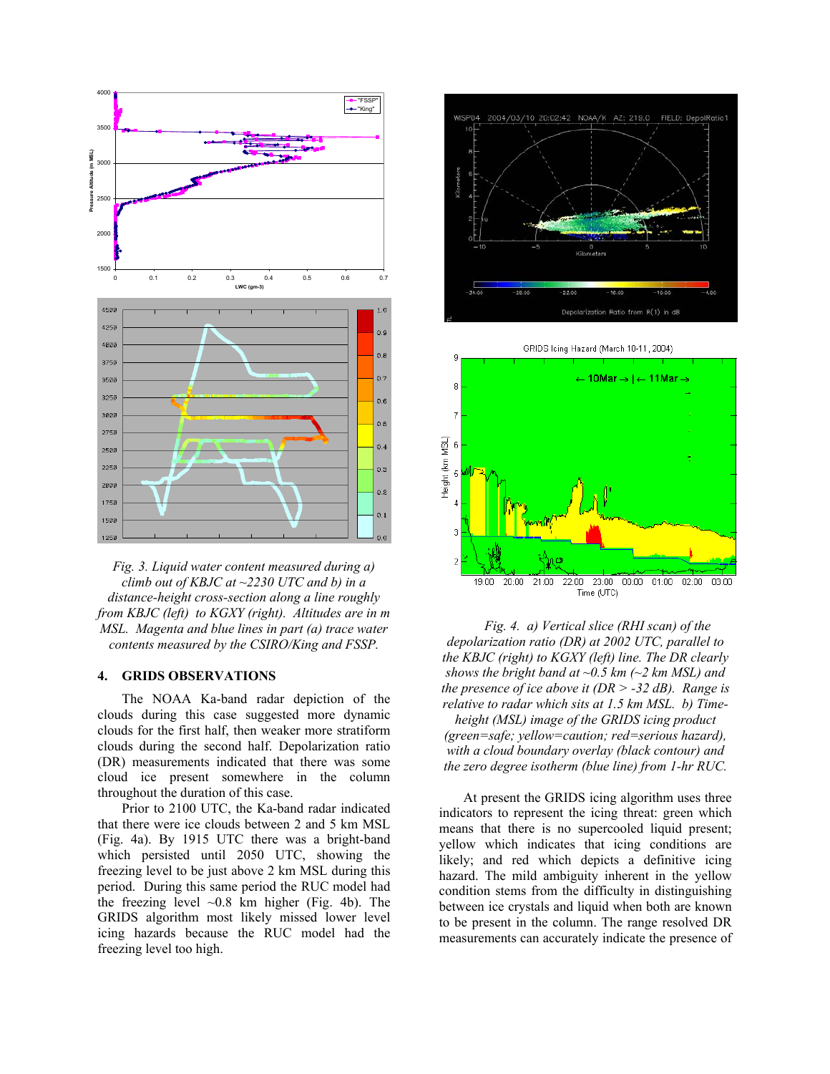

*Fig. 3. Liquid water content measured during a) climb out of KBJC at ~2230 UTC and b) in a distance-height cross-section along a line roughly from KBJC (left) to KGXY (right). Altitudes are in m MSL. Magenta and blue lines in part (a) trace water contents measured by the CSIRO/King and FSSP.* 

#### **4. GRIDS OBSERVATIONS**

The NOAA Ka-band radar depiction of the clouds during this case suggested more dynamic clouds for the first half, then weaker more stratiform clouds during the second half. Depolarization ratio (DR) measurements indicated that there was some cloud ice present somewhere in the column throughout the duration of this case. At present the GRIDS icing algorithm uses three

Prior to 2100 UTC, the Ka-band radar indicated that there were ice clouds between 2 and 5 km MSL (Fig. 4a). By 1915 UTC there was a bright-band which persisted until 2050 UTC, showing the freezing level to be just above 2 km MSL during this period. During this same period the RUC model had the freezing level  $\sim 0.8$  km higher (Fig. 4b). The GRIDS algorithm most likely missed lower level icing hazards because the RUC model had the freezing level too high.



GRIDS Icing Hazard (March 10-11, 2004) q <mark>← 10Mar → | ← 11Mar →</mark> 8  $\overline{7}$ Height (km MSL) έ 5 3  $\overline{a}$ 22:00 23:00  $00:00$   $01:00$ 19:00 20:00 21:00  $02:00$ 03:00 Time (UTC)

*Fig. 4. a) Vertical slice (RHI scan) of the depolarization ratio (DR) at 2002 UTC, parallel to the KBJC (right) to KGXY (left) line. The DR clearly shows the bright band at ~0.5 km (~2 km MSL) and the presence of ice above it (DR > -32 dB). Range is relative to radar which sits at 1.5 km MSL. b) Timeheight (MSL) image of the GRIDS icing product (green=safe; yellow=caution; red=serious hazard), with a cloud boundary overlay (black contour) and the zero degree isotherm (blue line) from 1-hr RUC.* 

indicators to represent the icing threat: green which means that there is no supercooled liquid present; yellow which indicates that icing conditions are likely; and red which depicts a definitive icing hazard. The mild ambiguity inherent in the yellow condition stems from the difficulty in distinguishing between ice crystals and liquid when both are known to be present in the column. The range resolved DR measurements can accurately indicate the presence of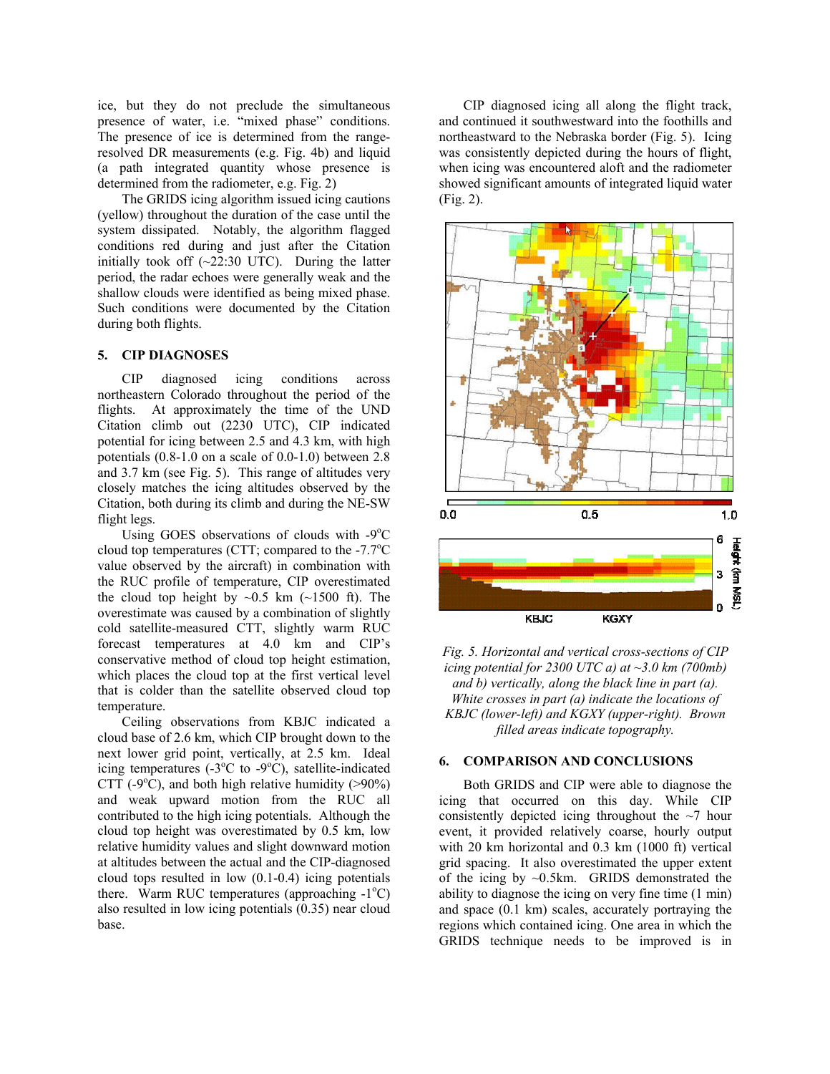ice, but they do not preclude the simultaneous presence of water, i.e. "mixed phase" conditions. The presence of ice is determined from the rangeresolved DR measurements (e.g. Fig. 4b) and liquid (a path integrated quantity whose presence is determined from the radiometer, e.g. Fig. 2)

The GRIDS icing algorithm issued icing cautions (Fig. 2). (yellow) throughout the duration of the case until the system dissipated. Notably, the algorithm flagged conditions red during and just after the Citation initially took off  $(\sim 22:30 \text{ UTC})$ . During the latter period, the radar echoes were generally weak and the shallow clouds were identified as being mixed phase. Such conditions were documented by the Citation during both flights.

### **5. CIP DIAGNOSES**

CIP diagnosed icing conditions across northeastern Colorado throughout the period of the flights. At approximately the time of the UND Citation climb out (2230 UTC), CIP indicated potential for icing between 2.5 and 4.3 km, with high potentials (0.8-1.0 on a scale of 0.0-1.0) between 2.8 and 3.7 km (see Fig. 5). This range of altitudes very closely matches the icing altitudes observed by the Citation, both during its climb and during the NE-SW flight legs.

Using GOES observations of clouds with -9°C cloud top temperatures (CTT; compared to the  $-7.7^{\circ}$ C value observed by the aircraft) in combination with the RUC profile of temperature, CIP overestimated the cloud top height by  $\sim 0.5$  km ( $\sim 1500$  ft). The overestimate was caused by a combination of slightly cold satellite-measured CTT, slightly warm RUC forecast temperatures at 4.0 km and CIP's conservative method of cloud top height estimation, which places the cloud top at the first vertical level that is colder than the satellite observed cloud top temperature.

Ceiling observations from KBJC indicated a cloud base of 2.6 km, which CIP brought down to the next lower grid point, vertically, at 2.5 km. Ideal icing temperatures (- $3^{\circ}$ C to - $9^{\circ}$ C), satellite-indicated CTT (-9 $^{\circ}$ C), and both high relative humidity (>90%) and weak upward motion from the RUC all contributed to the high icing potentials. Although the cloud top height was overestimated by 0.5 km, low relative humidity values and slight downward motion at altitudes between the actual and the CIP-diagnosed cloud tops resulted in low (0.1-0.4) icing potentials there. Warm RUC temperatures (approaching  $-1^{\circ}C$ ) also resulted in low icing potentials (0.35) near cloud base.

CIP diagnosed icing all along the flight track, and continued it southwestward into the foothills and northeastward to the Nebraska border (Fig. 5). Icing was consistently depicted during the hours of flight, when icing was encountered aloft and the radiometer showed significant amounts of integrated liquid water





### **6. COMPARISON AND CONCLUSIONS**

Both GRIDS and CIP were able to diagnose the icing that occurred on this day. While CIP consistently depicted icing throughout the  $\sim$ 7 hour event, it provided relatively coarse, hourly output with 20 km horizontal and 0.3 km (1000 ft) vertical grid spacing. It also overestimated the upper extent of the icing by ~0.5km. GRIDS demonstrated the ability to diagnose the icing on very fine time (1 min) and space (0.1 km) scales, accurately portraying the regions which contained icing. One area in which the GRIDS technique needs to be improved is in